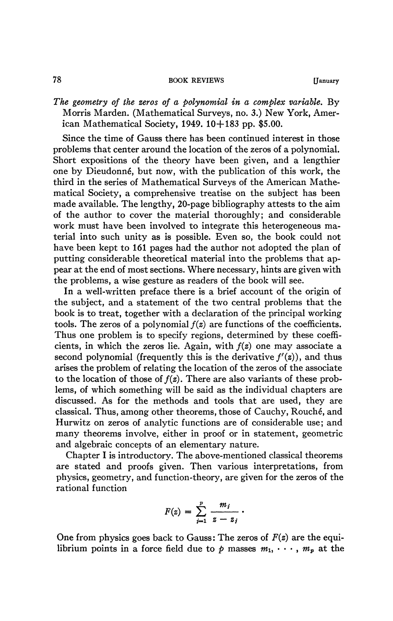## 78 **BOOK REVIEWS [January**

*The geometry of the zeros of a polynomial in a complex variable.* By Morris Marden. (Mathematical Surveys, no. 3.) New York, American Mathematical Society,  $1949$ ,  $10+183$  pp. \$5.00.

Since the time of Gauss there has been continued interest in those problems that center around the location of the zeros of a polynomial. Short expositions of the theory have been given, and a lengthier one by Dieudonné, but now, with the publication of this work, the third in the series of Mathematical Surveys of the American Mathematical Society, a comprehensive treatise on the subject has been made available. The lengthy, 20-page bibliography attests to the aim of the author to cover the material thoroughly; and considerable work must have been involved to integrate this heterogeneous material into such unity as is possible. Even so, the book could not have been kept to 161 pages had the author not adopted the plan of putting considerable theoretical material into the problems that appear at the end of most sections. Where necessary, hints are given with the problems, a wise gesture as readers of the book will see.

In a well-written preface there is a brief account of the origin of the subject, and a statement of the two central problems that the book is to treat, together with a declaration of the principal working tools. The zeros of a polynomial *f(z)* are functions of the coefficients. Thus one problem is to specify regions, determined by these coefficients, in which the zeros lie. Again, with  $f(z)$  one may associate a second polynomial (frequently this is the derivative  $f'(z)$ ), and thus arises the problem of relating the location of the zeros of the associate to the location of those *oîf(z).* There are also variants of these problems, of which something will be said as the individual chapters are discussed. As for the methods and tools that are used, they are classical. Thus, among other theorems, those of Cauchy, Rouché, and Hurwitz on zeros of analytic functions are of considerable use; and many theorems involve, either in proof or in statement, geometric and algebraic concepts of an elementary nature.

Chapter I is introductory. The above-mentioned classical theorems are stated and proofs given. Then various interpretations, from physics, geometry, and function-theory, are given for the zeros of the rational function

$$
F(z) = \sum_{j=1}^p \frac{m_j}{z - z_j} \, .
$$

One from physics goes back to Gauss: The zeros of *F(z)* are the equilibrium points in a force field due to  $p$  masses  $m_1, \dots, m_p$  at the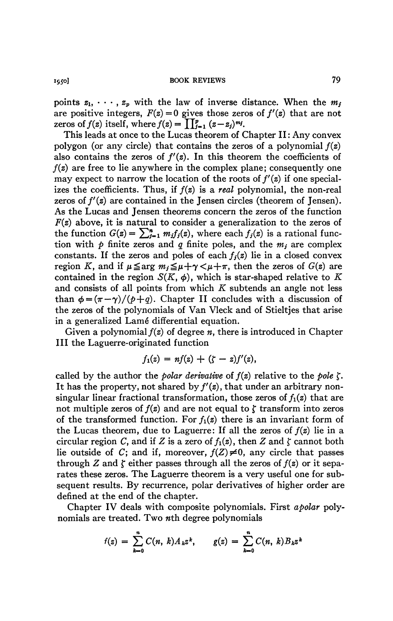**1950] BOOK REVIEWS** 79

points  $z_1, \dots, z_p$  with the law of inverse distance. When the  $m_j$ are positive integers,  $F(z) = 0$  gives those zeros of  $f'(z)$  that are not zeros of  $f(z)$  itself, where  $f(z) = \prod_{i=1}^{p} (z-z_i)^{m_i}$ .

This leads at once to the Lucas theorem of Chapter II : Any convex polygon (or any circle) that contains the zeros of a polynomial  $f(z)$ also contains the zeros of  $f'(z)$ . In this theorem the coefficients of  $f(z)$  are free to lie anywhere in the complex plane; consequently one may expect to narrow the location of the roots of  $f'(z)$  if one specializes the coefficients. Thus, if ƒ*(z)* is a *real* polynomial, the non-real zeros of  $f'(z)$  are contained in the Jensen circles (theorem of Jensen). As the Lucas and Jensen theorems concern the zeros of the function  $F(z)$  above, it is natural to consider a generalization to the zeros of the function  $G(z) = \sum_{j=1}^n m_j f_j(z)$ , where each  $f_j(z)$  is a rational function with  $\phi$  finite zeros and  $q$  finite poles, and the  $m_j$  are complex constants. If the zeros and poles of each  $f_i(z)$  lie in a closed convex region K, and if  $\mu \leq \arg m_i \leq \mu + \gamma < \mu + \pi$ , then the zeros of  $G(z)$  are contained in the region  $S(K, \phi)$ , which is star-shaped relative to K and consists of all points from which *K* subtends an angle not less than  $\phi = (\pi - \gamma)/(\rho + q)$ . Chapter II concludes with a discussion of the zeros of the polynomials of Van Vleck and of Stieltjes that arise in a generalized Lamé differential equation.

Given a polynomial  $f(z)$  of degree *n*, there is introduced in Chapter III the Laguerre-originated function

$$
f_1(z) = nf(z) + (\zeta - z)f'(z),
$$

called by the author the *polar derivative* of  $f(z)$  relative to the *pole*  $\zeta$ . It has the property, not shared by  $f'(z)$ , that under an arbitrary nonsingular linear fractional transformation, those zeros of  $f_1(z)$  that are not multiple zeros of  $f(z)$  and are not equal to  $\zeta$  transform into zeros of the transformed function. For  $f_1(z)$  there is an invariant form of the Lucas theorem, due to Laguerre: If all the zeros of *f(z)* lie in a circular region C, and if Z is a zero of  $f_1(z)$ , then Z and  $\zeta$  cannot both lie outside of *C*; and if, moreover,  $f(Z) \neq 0$ , any circle that passes through Z and  $\zeta$  either passes through all the zeros of  $f(z)$  or it separates these zeros. The Laguerre theorem is a very useful one for subsequent results. By recurrence, polar derivatives of higher order are defined at the end of the chapter.

Chapter IV deals with composite polynomials. First *apolar* polynomials are treated. Two *nth* degree polynomials

$$
f(z) = \sum_{k=0}^{n} C(n, k) A_k z^k, \qquad g(z) = \sum_{k=0}^{n} C(n, k) B_k z^k
$$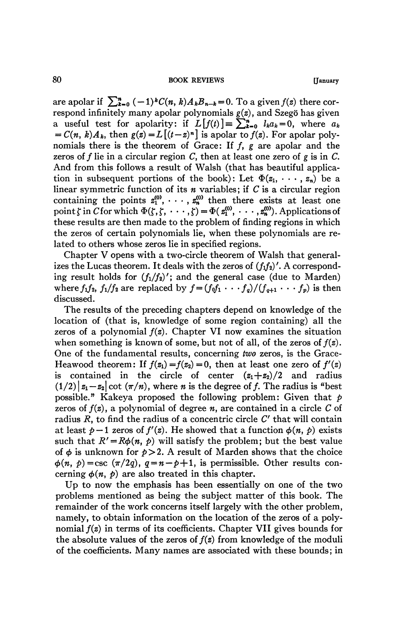are apolar if  $\sum_{k=0}^n (-1)^k C(n, k) A_k B_{n-k} = 0$ . To a given  $f(z)$  there correspond infinitely many apolar polynomials *g(z),* and Szegö has given a useful test for apolarity: if  $L[f(t)] = \sum_{k=0}^{n} l_k a_k = 0$ , where  $a_k$  $= C(n, k)A_k$ , then  $g(z) = L[(t-z)^n]$  is apolar to  $f(z)$ . For apolar polynomials there is the theorem of Grace: If ƒ, *g* are apolar and the zeros of ƒ lie in a circular region C, then at least one zero of *g* is in *C.*  And from this follows a result of Walsh (that has beautiful application in subsequent portions of the book): Let  $\Phi(z_1, \dots, z_n)$  be a linear symmetric function of its *n* variables ; if *C* is a circular region containing the points  $z_1^{(0)}, \cdots, z_n^{(0)}$  then there exists at least one point  $\zeta$  in C for which  $\Phi(\zeta, \zeta, \cdots, \zeta) = \Phi(\mathbf{z}_1^{(0)}, \cdots, \mathbf{z}_n^{(0)})$ . Applications of these results are then made to the problem of finding regions in which the zeros of certain polynomials lie, when these polynomials are related to others whose zeros lie in specified regions.

Chapter V opens with a two-circle theorem of Walsh that generalizes the Lucas theorem. It deals with the zeros of  $(f_1f_2)'$ . A corresponding result holds for  $(f_1/f_2)'$ ; and the general case (due to Marden) where  $f_1 f_2$ ,  $f_1/f_2$  are replaced by  $f = (f_0 f_1 \cdots f_q)/(f_{q+1} \cdots f_p)$  is then discussed.

The results of the preceding chapters depend on knowledge of the location of (that is, knowledge of some region containing) all the zeros of a polynomial  $f(z)$ . Chapter VI now examines the situation when something is known of some, but not of all, of the zeros of *f(z).*  One of the fundamental results, concerning *two* zeros, is the Grace-Heawood theorem: If  $f(z_1) = f(z_2) = 0$ , then at least one zero of  $f'(z)$ is contained in the circle of center  $(z_1+z_2)/2$  and radius  $(1/2) | z_1 - z_2 | \cot (\pi/n)$ , where *n* is the degree of *f*. The radius is "best" possible." Kakeya proposed the following problem: Given that *p*  zeros of *f(z)*, a polynomial of degree *n,* are contained in a circle *C* of radius *R,* to find the radius of a concentric circle *C'* that will contain at least  $p-1$  zeros of  $f'(z)$ . He showed that a function  $\phi(n, p)$  exists such that  $R' = R\phi(n, p)$  will satisfy the problem; but the best value of  $\phi$  is unknown for  $p > 2$ . A result of Marden shows that the choice  $\phi(n, b) = \csc (\pi/2q), q = n-p+1$ , is permissible. Other results concerning  $\phi(n, p)$  are also treated in this chapter.

Up to now the emphasis has been essentially on one of the two problems mentioned as being the subject matter of this book. The remainder of the work concerns itself largely with the other problem, namely, to obtain information on the location of the zeros of a polynomial *f(z)* in terms of its coefficients. Chapter VII gives bounds for the absolute values of the zeros of  $f(z)$  from knowledge of the moduli of the coefficients. Many names are associated with these bounds; in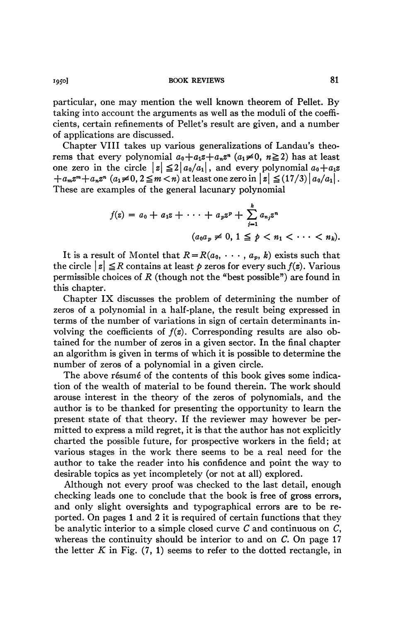**i95o] BOOK REVIEWS** 81

particular, one may mention the well known theorem of Pellet. By taking into account the arguments as well as the moduli of the coefficients, certain refinements of Pellet's result are given, and a number of applications are discussed.

Chapter VIII takes up various generalizations of Landau's theorems that every polynomial  $a_0 + a_1z + a_nz^n$   $(a_1 \neq 0, n \geq 2)$  has at least one zero in the circle  $|z| \leq 2|a_0/a_1|$ , and every polynomial  $a_0+a_1z$  $+a_m z^m + a_n z^n$   $(a_1 \neq 0, 2 \leq m < n)$  at least one zero in  $|z| \leq (17/3) |a_0/a_1|$ . These are examples of the general lacunary polynomial

$$
f(z) = a_0 + a_1 z + \cdots + a_p z^p + \sum_{j=1}^k a_{n_j} z^n
$$
  

$$
(a_0 a_p \neq 0, 1 \leq p < n_1 < \cdots < n_k).
$$

It is a result of Montel that  $R = R(a_0, \dots, a_p, k)$  exists such that the circle  $|z| \leq R$  contains at least  $p$  zeros for every such  $f(z)$ . Various permissible choices of *R* (though not the "best possible") are found in this chapter.

Chapter IX discusses the problem of determining the number of zeros of a polynomial in a half-plane, the result being expressed in terms of the number of variations in sign of certain determinants involving the coefficients of  $f(z)$ . Corresponding results are also obtained for the number of zeros in a given sector. In the final chapter an algorithm is given in terms of which it is possible to determine the number of zeros of a polynomial in a given circle.

The above résumé of the contents of this book gives some indication of the wealth of material to be found therein. The work should arouse interest in the theory of the zeros of polynomials, and the author is to be thanked for presenting the opportunity to learn the present state of that theory. If the reviewer may however be permitted to express a mild regret, it is that the author has not explicitly charted the possible future, for prospective workers in the field; at various stages in the work there seems to be a real need for the author to take the reader into his confidence and point the way to desirable topics as yet incompletely (or not at all) explored.

Although not every proof was checked to the last detail, enough checking leads one to conclude that the book is free of gross errors, and only slight oversights and typographical errors are to be reported. On pages 1 and 2 it is required of certain functions that they be analytic interior to a simple closed curve *C* and continuous on C, whereas the continuity should be interior to and on C. On page 17 the letter  $K$  in Fig.  $(7, 1)$  seems to refer to the dotted rectangle, in